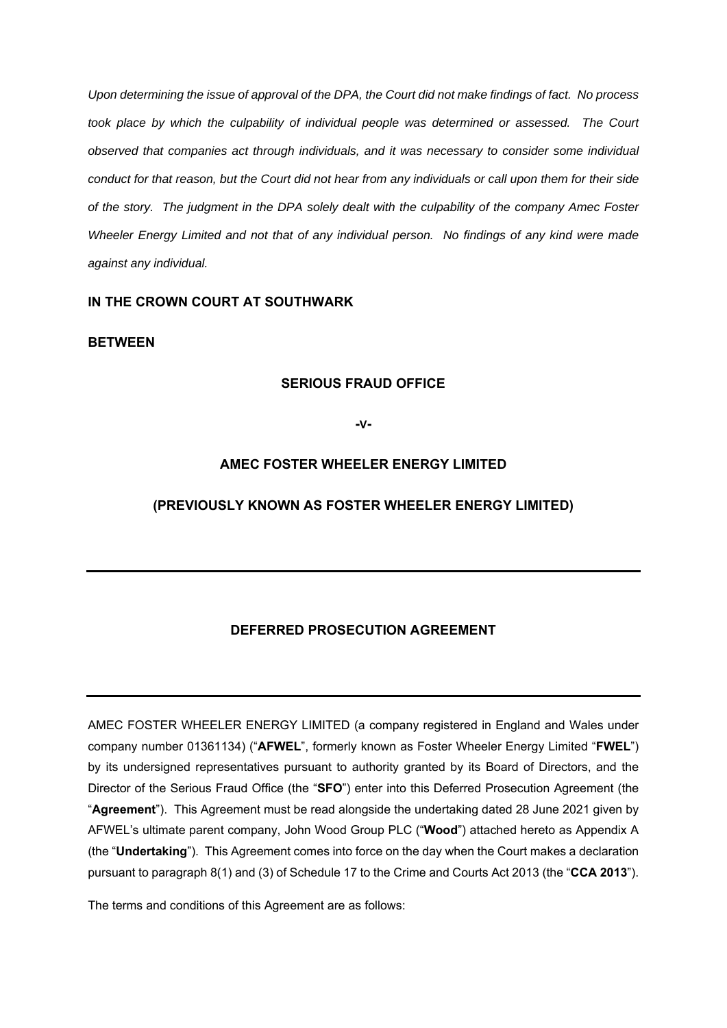*Upon determining the issue of approval of the DPA, the Court did not make findings of fact. No process*  took place by which the culpability of individual people was determined or assessed. The Court *observed that companies act through individuals, and it was necessary to consider some individual conduct for that reason, but the Court did not hear from any individuals or call upon them for their side of the story. The judgment in the DPA solely dealt with the culpability of the company Amec Foster Wheeler Energy Limited and not that of any individual person. No findings of any kind were made against any individual.* 

# **IN THE CROWN COURT AT SOUTHWARK**

# **BETWEEN**

## **SERIOUS FRAUD OFFICE**

**-V-**

# **AMEC FOSTER WHEELER ENERGY LIMITED**

# **(PREVIOUSLY KNOWN AS FOSTER WHEELER ENERGY LIMITED)**

## **DEFERRED PROSECUTION AGREEMENT**

AMEC FOSTER WHEELER ENERGY LIMITED (a company registered in England and Wales under company number 01361134) ("**AFWEL**", formerly known as Foster Wheeler Energy Limited "**FWEL**") by its undersigned representatives pursuant to authority granted by its Board of Directors, and the Director of the Serious Fraud Office (the "**SFO**") enter into this Deferred Prosecution Agreement (the "**Agreement**"). This Agreement must be read alongside the undertaking dated 28 June 2021 given by AFWEL's ultimate parent company, John Wood Group PLC ("**Wood**") attached hereto as Appendix A (the "**Undertaking**"). This Agreement comes into force on the day when the Court makes a declaration pursuant to paragraph 8(1) and (3) of Schedule 17 to the Crime and Courts Act 2013 (the "**CCA 2013**").

The terms and conditions of this Agreement are as follows: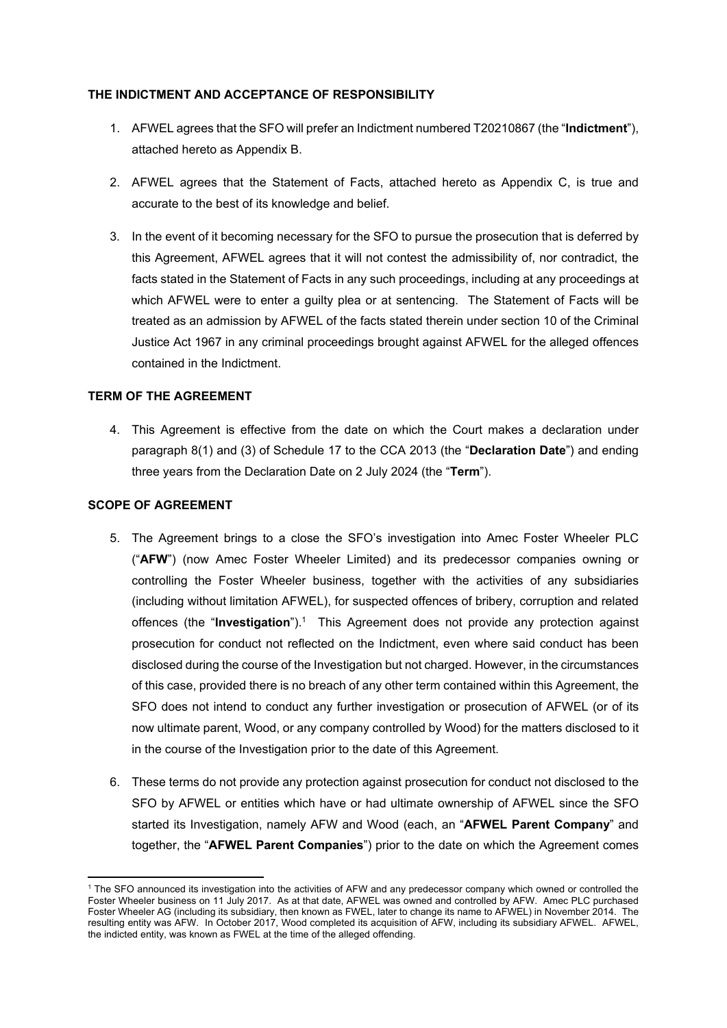## **THE INDICTMENT AND ACCEPTANCE OF RESPONSIBILITY**

- 1. AFWEL agrees that the SFO will prefer an Indictment numbered T20210867 (the "**Indictment**"), attached hereto as Appendix B.
- 2. AFWEL agrees that the Statement of Facts, attached hereto as Appendix C, is true and accurate to the best of its knowledge and belief.
- 3. In the event of it becoming necessary for the SFO to pursue the prosecution that is deferred by this Agreement, AFWEL agrees that it will not contest the admissibility of, nor contradict, the facts stated in the Statement of Facts in any such proceedings, including at any proceedings at which AFWEL were to enter a guilty plea or at sentencing. The Statement of Facts will be treated as an admission by AFWEL of the facts stated therein under section 10 of the Criminal Justice Act 1967 in any criminal proceedings brought against AFWEL for the alleged offences contained in the Indictment.

# **TERM OF THE AGREEMENT**

4. This Agreement is effective from the date on which the Court makes a declaration under paragraph 8(1) and (3) of Schedule 17 to the CCA 2013 (the "**Declaration Date**") and ending three years from the Declaration Date on 2 July 2024 (the "**Term**").

# **SCOPE OF AGREEMENT**

- 5. The Agreement brings to a close the SFO's investigation into Amec Foster Wheeler PLC ("**AFW**") (now Amec Foster Wheeler Limited) and its predecessor companies owning or controlling the Foster Wheeler business, together with the activities of any subsidiaries (including without limitation AFWEL), for suspected offences of bribery, corruption and related offences (the "**Investigation**").<sup>1</sup> This Agreement does not provide any protection against prosecution for conduct not reflected on the Indictment, even where said conduct has been disclosed during the course of the Investigation but not charged. However, in the circumstances of this case, provided there is no breach of any other term contained within this Agreement, the SFO does not intend to conduct any further investigation or prosecution of AFWEL (or of its now ultimate parent, Wood, or any company controlled by Wood) for the matters disclosed to it in the course of the Investigation prior to the date of this Agreement.
- 6. These terms do not provide any protection against prosecution for conduct not disclosed to the SFO by AFWEL or entities which have or had ultimate ownership of AFWEL since the SFO started its Investigation, namely AFW and Wood (each, an "**AFWEL Parent Company**" and together, the "**AFWEL Parent Companies**") prior to the date on which the Agreement comes

 1 The SFO announced its investigation into the activities of AFW and any predecessor company which owned or controlled the Foster Wheeler business on 11 July 2017. As at that date, AFWEL was owned and controlled by AFW. Amec PLC purchased Foster Wheeler AG (including its subsidiary, then known as FWEL, later to change its name to AFWEL) in November 2014. The resulting entity was AFW. In October 2017, Wood completed its acquisition of AFW, including its subsidiary AFWEL. AFWEL, the indicted entity, was known as FWEL at the time of the alleged offending.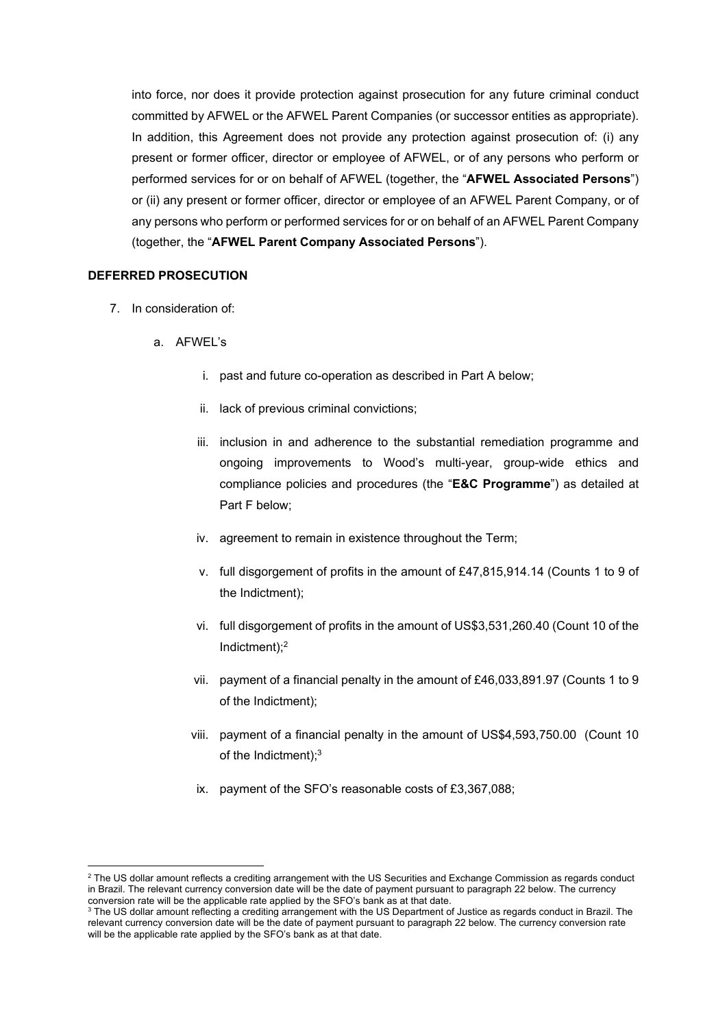into force, nor does it provide protection against prosecution for any future criminal conduct committed by AFWEL or the AFWEL Parent Companies (or successor entities as appropriate). In addition, this Agreement does not provide any protection against prosecution of: (i) any present or former officer, director or employee of AFWEL, or of any persons who perform or performed services for or on behalf of AFWEL (together, the "**AFWEL Associated Persons**") or (ii) any present or former officer, director or employee of an AFWEL Parent Company, or of any persons who perform or performed services for or on behalf of an AFWEL Parent Company (together, the "**AFWEL Parent Company Associated Persons**").

#### **DEFERRED PROSECUTION**

7. In consideration of:

- a. AFWEL's
	- i. past and future co-operation as described in Part A below;
	- ii. lack of previous criminal convictions;
	- iii. inclusion in and adherence to the substantial remediation programme and ongoing improvements to Wood's multi-year, group-wide ethics and compliance policies and procedures (the "**E&C Programme**") as detailed at Part F below;
	- iv. agreement to remain in existence throughout the Term;
	- v. full disgorgement of profits in the amount of £47,815,914.14 (Counts 1 to 9 of the Indictment);
	- vi. full disgorgement of profits in the amount of US\$3,531,260.40 (Count 10 of the Indictment);2
	- vii. payment of a financial penalty in the amount of £46,033,891.97 (Counts 1 to 9 of the Indictment);
	- viii. payment of a financial penalty in the amount of US\$4,593,750.00 (Count 10 of the Indictment);3
	- ix. payment of the SFO's reasonable costs of £3,367,088;

 $^2$  The US dollar amount reflects a crediting arrangement with the US Securities and Exchange Commission as regards conduct in Brazil. The relevant currency conversion date will be the date of payment pursuant to paragraph 22 below. The currency conversion rate will be the applicable rate applied by the SFO's bank as at that date. 3

<sup>&</sup>lt;sup>3</sup> The US dollar amount reflecting a crediting arrangement with the US Department of Justice as regards conduct in Brazil. The relevant currency conversion date will be the date of payment pursuant to paragraph 22 below. The currency conversion rate will be the applicable rate applied by the SFO's bank as at that date.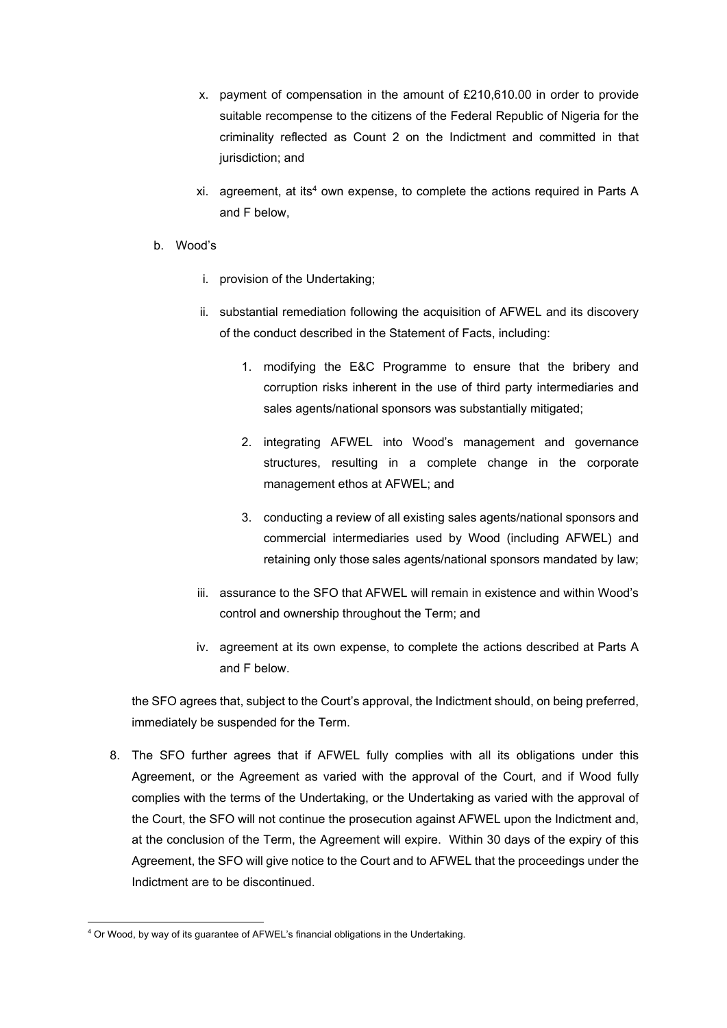- x. payment of compensation in the amount of £210,610.00 in order to provide suitable recompense to the citizens of the Federal Republic of Nigeria for the criminality reflected as Count 2 on the Indictment and committed in that jurisdiction; and
- xi. agreement, at its4 own expense, to complete the actions required in Parts A and F below,
- b. Wood's
	- i. provision of the Undertaking;
	- ii. substantial remediation following the acquisition of AFWEL and its discovery of the conduct described in the Statement of Facts, including:
		- 1. modifying the E&C Programme to ensure that the bribery and corruption risks inherent in the use of third party intermediaries and sales agents/national sponsors was substantially mitigated;
		- 2. integrating AFWEL into Wood's management and governance structures, resulting in a complete change in the corporate management ethos at AFWEL; and
		- 3. conducting a review of all existing sales agents/national sponsors and commercial intermediaries used by Wood (including AFWEL) and retaining only those sales agents/national sponsors mandated by law;
	- iii. assurance to the SFO that AFWEL will remain in existence and within Wood's control and ownership throughout the Term; and
	- iv. agreement at its own expense, to complete the actions described at Parts A and F below.

the SFO agrees that, subject to the Court's approval, the Indictment should, on being preferred, immediately be suspended for the Term.

8. The SFO further agrees that if AFWEL fully complies with all its obligations under this Agreement, or the Agreement as varied with the approval of the Court, and if Wood fully complies with the terms of the Undertaking, or the Undertaking as varied with the approval of the Court, the SFO will not continue the prosecution against AFWEL upon the Indictment and, at the conclusion of the Term, the Agreement will expire. Within 30 days of the expiry of this Agreement, the SFO will give notice to the Court and to AFWEL that the proceedings under the Indictment are to be discontinued.

 4 Or Wood, by way of its guarantee of AFWEL's financial obligations in the Undertaking.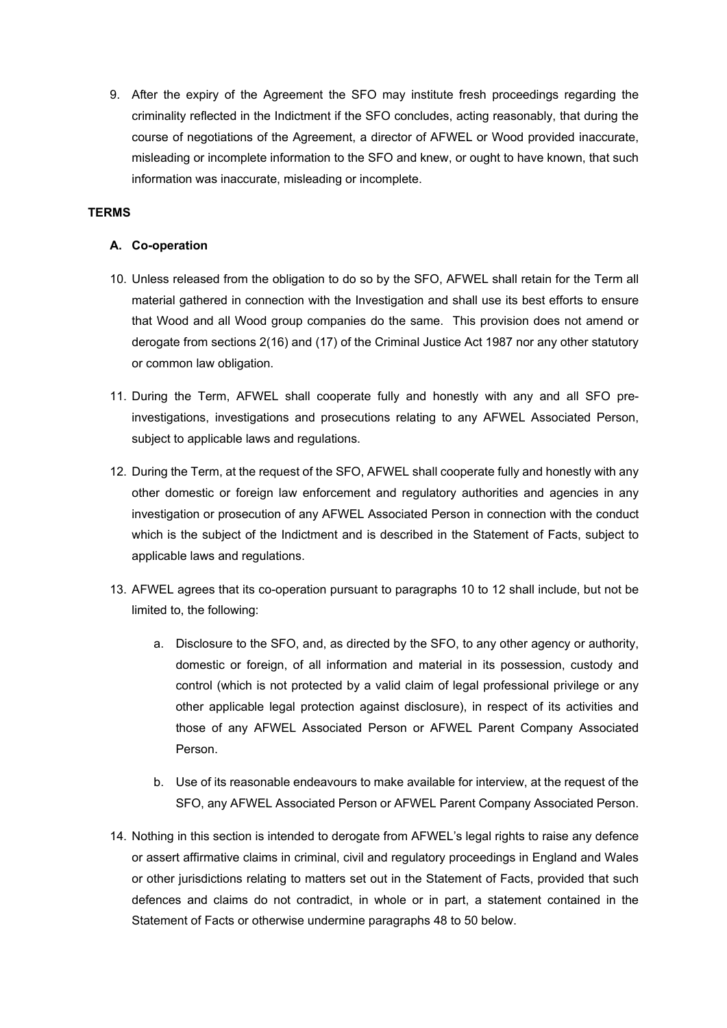9. After the expiry of the Agreement the SFO may institute fresh proceedings regarding the criminality reflected in the Indictment if the SFO concludes, acting reasonably, that during the course of negotiations of the Agreement, a director of AFWEL or Wood provided inaccurate, misleading or incomplete information to the SFO and knew, or ought to have known, that such information was inaccurate, misleading or incomplete.

## **TERMS**

#### **A. Co-operation**

- 10. Unless released from the obligation to do so by the SFO, AFWEL shall retain for the Term all material gathered in connection with the Investigation and shall use its best efforts to ensure that Wood and all Wood group companies do the same. This provision does not amend or derogate from sections 2(16) and (17) of the Criminal Justice Act 1987 nor any other statutory or common law obligation.
- 11. During the Term, AFWEL shall cooperate fully and honestly with any and all SFO preinvestigations, investigations and prosecutions relating to any AFWEL Associated Person, subject to applicable laws and regulations.
- 12. During the Term, at the request of the SFO, AFWEL shall cooperate fully and honestly with any other domestic or foreign law enforcement and regulatory authorities and agencies in any investigation or prosecution of any AFWEL Associated Person in connection with the conduct which is the subject of the Indictment and is described in the Statement of Facts, subject to applicable laws and regulations.
- 13. AFWEL agrees that its co-operation pursuant to paragraphs 10 to 12 shall include, but not be limited to, the following:
	- a. Disclosure to the SFO, and, as directed by the SFO, to any other agency or authority, domestic or foreign, of all information and material in its possession, custody and control (which is not protected by a valid claim of legal professional privilege or any other applicable legal protection against disclosure), in respect of its activities and those of any AFWEL Associated Person or AFWEL Parent Company Associated Person.
	- b. Use of its reasonable endeavours to make available for interview, at the request of the SFO, any AFWEL Associated Person or AFWEL Parent Company Associated Person.
- 14. Nothing in this section is intended to derogate from AFWEL's legal rights to raise any defence or assert affirmative claims in criminal, civil and regulatory proceedings in England and Wales or other jurisdictions relating to matters set out in the Statement of Facts, provided that such defences and claims do not contradict, in whole or in part, a statement contained in the Statement of Facts or otherwise undermine paragraphs 48 to 50 below.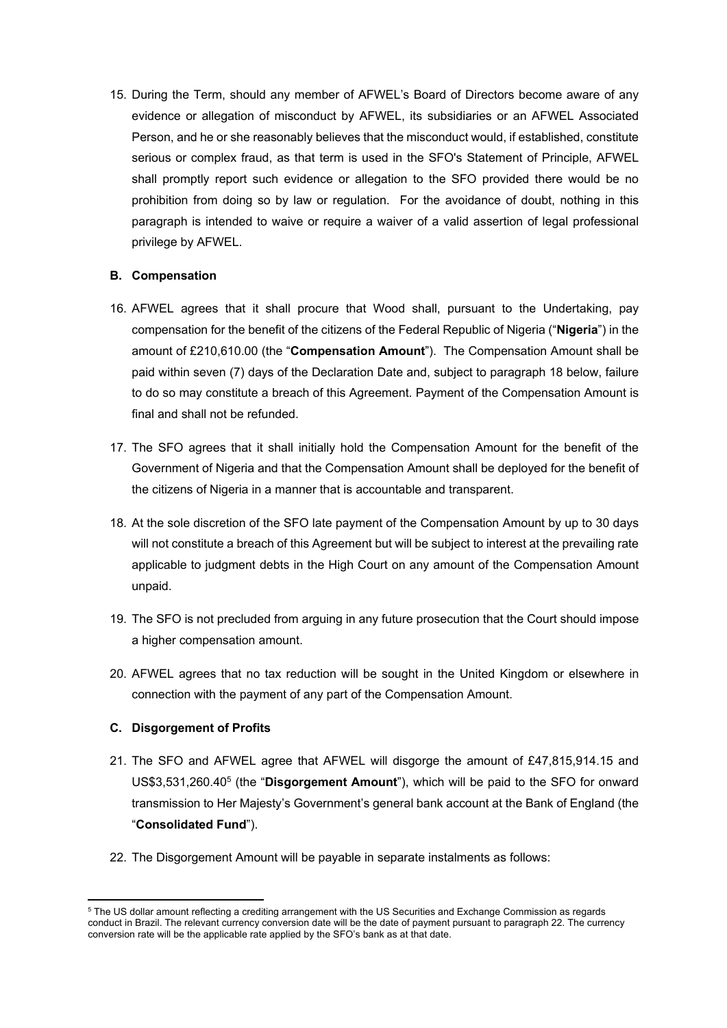15. During the Term, should any member of AFWEL's Board of Directors become aware of any evidence or allegation of misconduct by AFWEL, its subsidiaries or an AFWEL Associated Person, and he or she reasonably believes that the misconduct would, if established, constitute serious or complex fraud, as that term is used in the SFO's Statement of Principle, AFWEL shall promptly report such evidence or allegation to the SFO provided there would be no prohibition from doing so by law or regulation. For the avoidance of doubt, nothing in this paragraph is intended to waive or require a waiver of a valid assertion of legal professional privilege by AFWEL.

## **B. Compensation**

- 16. AFWEL agrees that it shall procure that Wood shall, pursuant to the Undertaking, pay compensation for the benefit of the citizens of the Federal Republic of Nigeria ("**Nigeria**") in the amount of £210,610.00 (the "**Compensation Amount**"). The Compensation Amount shall be paid within seven (7) days of the Declaration Date and, subject to paragraph 18 below, failure to do so may constitute a breach of this Agreement. Payment of the Compensation Amount is final and shall not be refunded.
- 17. The SFO agrees that it shall initially hold the Compensation Amount for the benefit of the Government of Nigeria and that the Compensation Amount shall be deployed for the benefit of the citizens of Nigeria in a manner that is accountable and transparent.
- 18. At the sole discretion of the SFO late payment of the Compensation Amount by up to 30 days will not constitute a breach of this Agreement but will be subject to interest at the prevailing rate applicable to judgment debts in the High Court on any amount of the Compensation Amount unpaid.
- 19. The SFO is not precluded from arguing in any future prosecution that the Court should impose a higher compensation amount.
- 20. AFWEL agrees that no tax reduction will be sought in the United Kingdom or elsewhere in connection with the payment of any part of the Compensation Amount.

## **C. Disgorgement of Profits**

- 21. The SFO and AFWEL agree that AFWEL will disgorge the amount of £47,815,914.15 and US\$3,531,260.405 (the "**Disgorgement Amount**"), which will be paid to the SFO for onward transmission to Her Majesty's Government's general bank account at the Bank of England (the "**Consolidated Fund**").
- 22. The Disgorgement Amount will be payable in separate instalments as follows:

 <sup>5</sup> The US dollar amount reflecting a crediting arrangement with the US Securities and Exchange Commission as regards conduct in Brazil. The relevant currency conversion date will be the date of payment pursuant to paragraph 22. The currency conversion rate will be the applicable rate applied by the SFO's bank as at that date.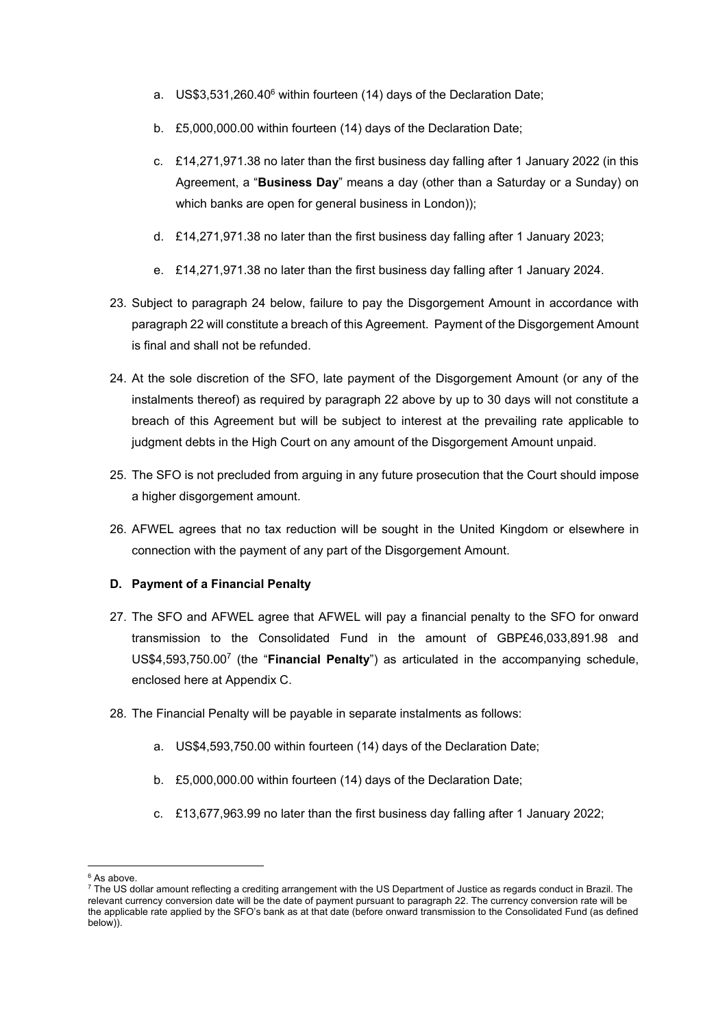- a. US\$3,531,260.40<sup>6</sup> within fourteen (14) days of the Declaration Date;
- b. £5,000,000.00 within fourteen (14) days of the Declaration Date;
- c. £14,271,971.38 no later than the first business day falling after 1 January 2022 (in this Agreement, a "**Business Day**" means a day (other than a Saturday or a Sunday) on which banks are open for general business in London));
- d. £14,271,971.38 no later than the first business day falling after 1 January 2023;
- e. £14,271,971.38 no later than the first business day falling after 1 January 2024.
- 23. Subject to paragraph 24 below, failure to pay the Disgorgement Amount in accordance with paragraph 22 will constitute a breach of this Agreement. Payment of the Disgorgement Amount is final and shall not be refunded.
- 24. At the sole discretion of the SFO, late payment of the Disgorgement Amount (or any of the instalments thereof) as required by paragraph 22 above by up to 30 days will not constitute a breach of this Agreement but will be subject to interest at the prevailing rate applicable to judgment debts in the High Court on any amount of the Disgorgement Amount unpaid.
- 25. The SFO is not precluded from arguing in any future prosecution that the Court should impose a higher disgorgement amount.
- 26. AFWEL agrees that no tax reduction will be sought in the United Kingdom or elsewhere in connection with the payment of any part of the Disgorgement Amount.

## **D. Payment of a Financial Penalty**

- 27. The SFO and AFWEL agree that AFWEL will pay a financial penalty to the SFO for onward transmission to the Consolidated Fund in the amount of GBP£46,033,891.98 and US\$4,593,750.007 (the "**Financial Penalty**") as articulated in the accompanying schedule, enclosed here at Appendix C.
- 28. The Financial Penalty will be payable in separate instalments as follows:
	- a. US\$4,593,750.00 within fourteen (14) days of the Declaration Date;
	- b. £5,000,000.00 within fourteen (14) days of the Declaration Date;
	- c. £13,677,963.99 no later than the first business day falling after 1 January 2022;

 <sup>6</sup> As above.

 $^7$  The US dollar amount reflecting a crediting arrangement with the US Department of Justice as regards conduct in Brazil. The relevant currency conversion date will be the date of payment pursuant to paragraph 22. The currency conversion rate will be the applicable rate applied by the SFO's bank as at that date (before onward transmission to the Consolidated Fund (as defined below)).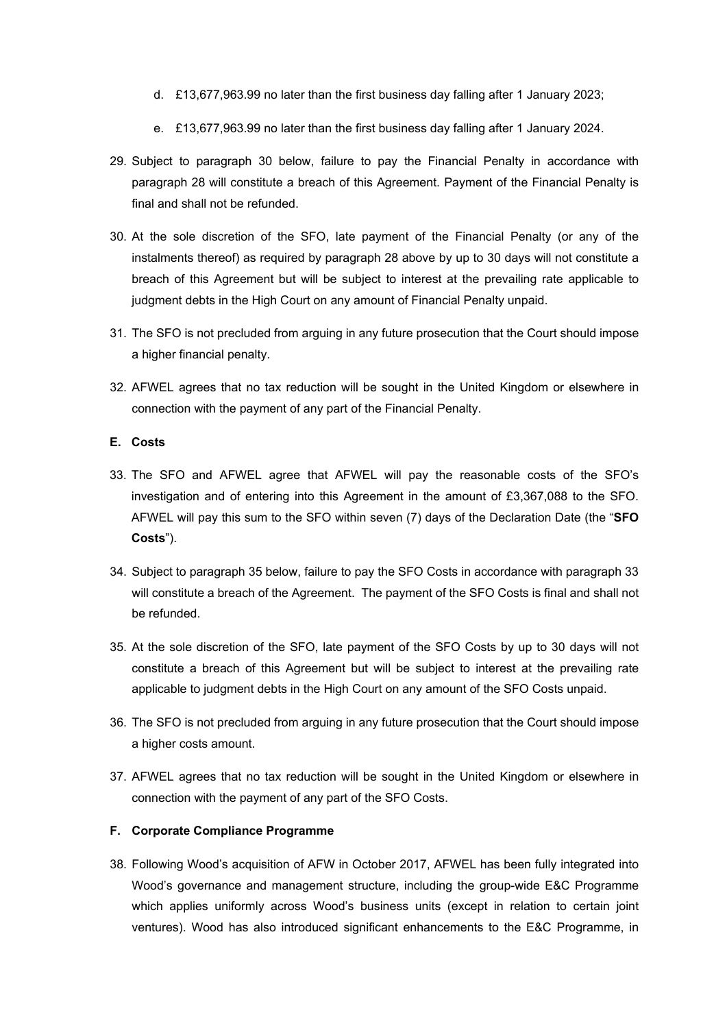- d. £13,677,963.99 no later than the first business day falling after 1 January 2023;
- e. £13,677,963.99 no later than the first business day falling after 1 January 2024.
- 29. Subject to paragraph 30 below, failure to pay the Financial Penalty in accordance with paragraph 28 will constitute a breach of this Agreement. Payment of the Financial Penalty is final and shall not be refunded.
- 30. At the sole discretion of the SFO, late payment of the Financial Penalty (or any of the instalments thereof) as required by paragraph 28 above by up to 30 days will not constitute a breach of this Agreement but will be subject to interest at the prevailing rate applicable to judgment debts in the High Court on any amount of Financial Penalty unpaid.
- 31. The SFO is not precluded from arguing in any future prosecution that the Court should impose a higher financial penalty.
- 32. AFWEL agrees that no tax reduction will be sought in the United Kingdom or elsewhere in connection with the payment of any part of the Financial Penalty.

#### **E. Costs**

- 33. The SFO and AFWEL agree that AFWEL will pay the reasonable costs of the SFO's investigation and of entering into this Agreement in the amount of £3,367,088 to the SFO. AFWEL will pay this sum to the SFO within seven (7) days of the Declaration Date (the "**SFO Costs**").
- 34. Subject to paragraph 35 below, failure to pay the SFO Costs in accordance with paragraph 33 will constitute a breach of the Agreement. The payment of the SFO Costs is final and shall not be refunded.
- 35. At the sole discretion of the SFO, late payment of the SFO Costs by up to 30 days will not constitute a breach of this Agreement but will be subject to interest at the prevailing rate applicable to judgment debts in the High Court on any amount of the SFO Costs unpaid.
- 36. The SFO is not precluded from arguing in any future prosecution that the Court should impose a higher costs amount.
- 37. AFWEL agrees that no tax reduction will be sought in the United Kingdom or elsewhere in connection with the payment of any part of the SFO Costs.

#### **F. Corporate Compliance Programme**

38. Following Wood's acquisition of AFW in October 2017, AFWEL has been fully integrated into Wood's governance and management structure, including the group-wide E&C Programme which applies uniformly across Wood's business units (except in relation to certain joint ventures). Wood has also introduced significant enhancements to the E&C Programme, in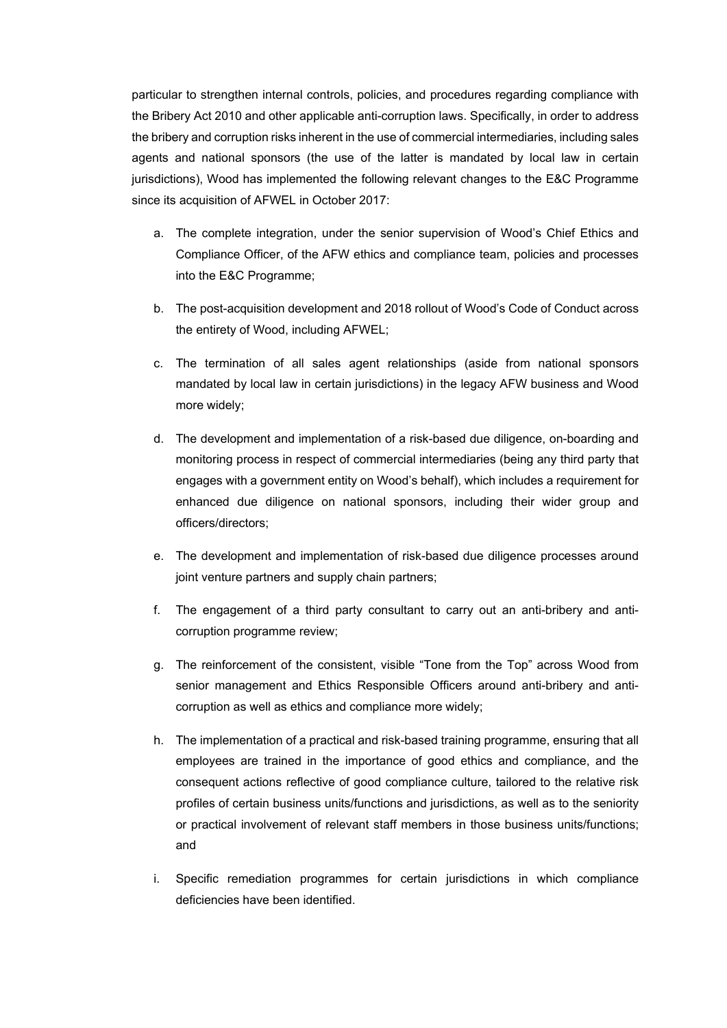particular to strengthen internal controls, policies, and procedures regarding compliance with the Bribery Act 2010 and other applicable anti-corruption laws. Specifically, in order to address the bribery and corruption risks inherent in the use of commercial intermediaries, including sales agents and national sponsors (the use of the latter is mandated by local law in certain jurisdictions), Wood has implemented the following relevant changes to the E&C Programme since its acquisition of AFWEL in October 2017:

- a. The complete integration, under the senior supervision of Wood's Chief Ethics and Compliance Officer, of the AFW ethics and compliance team, policies and processes into the E&C Programme;
- b. The post-acquisition development and 2018 rollout of Wood's Code of Conduct across the entirety of Wood, including AFWEL;
- c. The termination of all sales agent relationships (aside from national sponsors mandated by local law in certain jurisdictions) in the legacy AFW business and Wood more widely;
- d. The development and implementation of a risk-based due diligence, on-boarding and monitoring process in respect of commercial intermediaries (being any third party that engages with a government entity on Wood's behalf), which includes a requirement for enhanced due diligence on national sponsors, including their wider group and officers/directors;
- e. The development and implementation of risk-based due diligence processes around joint venture partners and supply chain partners;
- f. The engagement of a third party consultant to carry out an anti-bribery and anticorruption programme review;
- g. The reinforcement of the consistent, visible "Tone from the Top" across Wood from senior management and Ethics Responsible Officers around anti-bribery and anticorruption as well as ethics and compliance more widely;
- h. The implementation of a practical and risk-based training programme, ensuring that all employees are trained in the importance of good ethics and compliance, and the consequent actions reflective of good compliance culture, tailored to the relative risk profiles of certain business units/functions and jurisdictions, as well as to the seniority or practical involvement of relevant staff members in those business units/functions; and
- i. Specific remediation programmes for certain jurisdictions in which compliance deficiencies have been identified.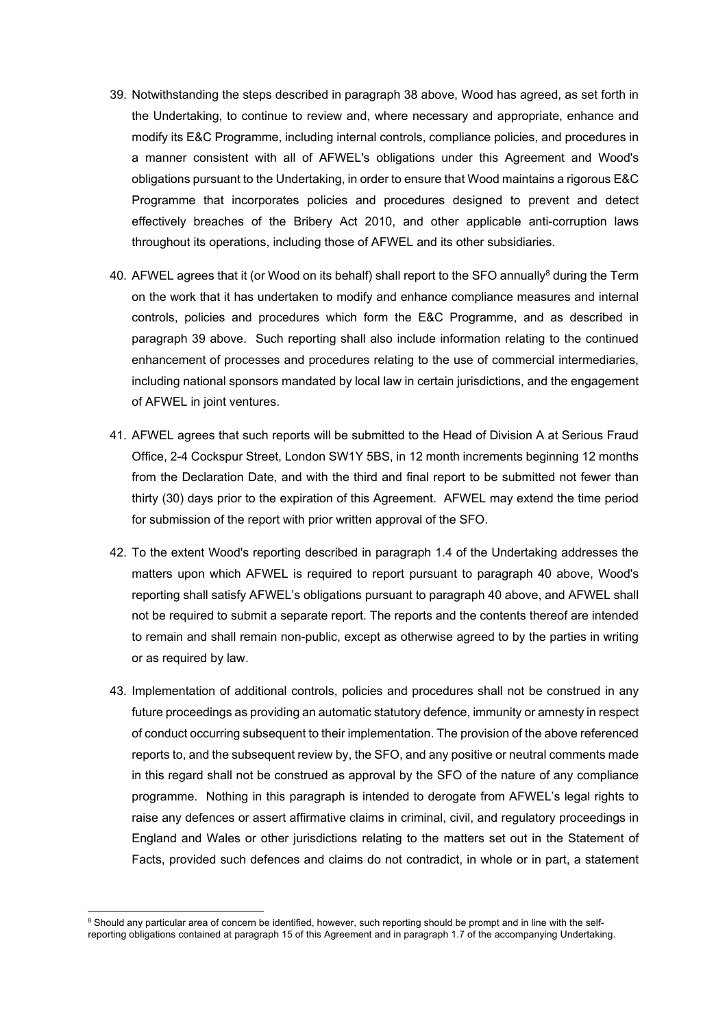- 39. Notwithstanding the steps described in paragraph 38 above, Wood has agreed, as set forth in the Undertaking, to continue to review and, where necessary and appropriate, enhance and modify its E&C Programme, including internal controls, compliance policies, and procedures in a manner consistent with all of AFWEL's obligations under this Agreement and Wood's obligations pursuant to the Undertaking, in order to ensure that Wood maintains a rigorous E&C Programme that incorporates policies and procedures designed to prevent and detect effectively breaches of the Bribery Act 2010, and other applicable anti-corruption laws throughout its operations, including those of AFWEL and its other subsidiaries.
- 40. AFWEL agrees that it (or Wood on its behalf) shall report to the SFO annually $^8$  during the Term on the work that it has undertaken to modify and enhance compliance measures and internal controls, policies and procedures which form the E&C Programme, and as described in paragraph 39 above. Such reporting shall also include information relating to the continued enhancement of processes and procedures relating to the use of commercial intermediaries, including national sponsors mandated by local law in certain jurisdictions, and the engagement of AFWEL in joint ventures.
- 41. AFWEL agrees that such reports will be submitted to the Head of Division A at Serious Fraud Office, 2-4 Cockspur Street, London SW1Y 5BS, in 12 month increments beginning 12 months from the Declaration Date, and with the third and final report to be submitted not fewer than thirty (30) days prior to the expiration of this Agreement. AFWEL may extend the time period for submission of the report with prior written approval of the SFO.
- 42. To the extent Wood's reporting described in paragraph 1.4 of the Undertaking addresses the matters upon which AFWEL is required to report pursuant to paragraph 40 above, Wood's reporting shall satisfy AFWEL's obligations pursuant to paragraph 40 above, and AFWEL shall not be required to submit a separate report. The reports and the contents thereof are intended to remain and shall remain non-public, except as otherwise agreed to by the parties in writing or as required by law.
- 43. Implementation of additional controls, policies and procedures shall not be construed in any future proceedings as providing an automatic statutory defence, immunity or amnesty in respect of conduct occurring subsequent to their implementation. The provision of the above referenced reports to, and the subsequent review by, the SFO, and any positive or neutral comments made in this regard shall not be construed as approval by the SFO of the nature of any compliance programme. Nothing in this paragraph is intended to derogate from AFWEL's legal rights to raise any defences or assert affirmative claims in criminal, civil, and regulatory proceedings in England and Wales or other jurisdictions relating to the matters set out in the Statement of Facts, provided such defences and claims do not contradict, in whole or in part, a statement

<sup>&</sup>lt;sup>8</sup> Should any particular area of concern be identified, however, such reporting should be prompt and in line with the selfreporting obligations contained at paragraph 15 of this Agreement and in paragraph 1.7 of the accompanying Undertaking.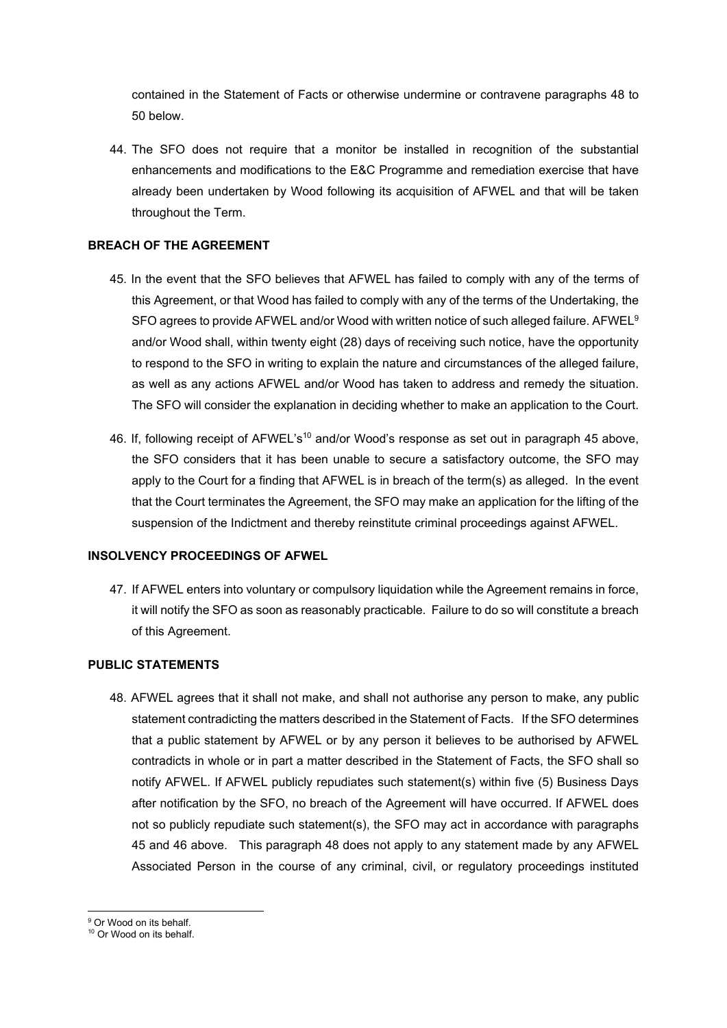contained in the Statement of Facts or otherwise undermine or contravene paragraphs 48 to 50 below.

44. The SFO does not require that a monitor be installed in recognition of the substantial enhancements and modifications to the E&C Programme and remediation exercise that have already been undertaken by Wood following its acquisition of AFWEL and that will be taken throughout the Term.

# **BREACH OF THE AGREEMENT**

- 45. In the event that the SFO believes that AFWEL has failed to comply with any of the terms of this Agreement, or that Wood has failed to comply with any of the terms of the Undertaking, the SFO agrees to provide AFWEL and/or Wood with written notice of such alleged failure. AFWEL<sup>9</sup> and/or Wood shall, within twenty eight (28) days of receiving such notice, have the opportunity to respond to the SFO in writing to explain the nature and circumstances of the alleged failure, as well as any actions AFWEL and/or Wood has taken to address and remedy the situation. The SFO will consider the explanation in deciding whether to make an application to the Court.
- 46. If, following receipt of AFWEL's<sup>10</sup> and/or Wood's response as set out in paragraph 45 above, the SFO considers that it has been unable to secure a satisfactory outcome, the SFO may apply to the Court for a finding that AFWEL is in breach of the term(s) as alleged. In the event that the Court terminates the Agreement, the SFO may make an application for the lifting of the suspension of the Indictment and thereby reinstitute criminal proceedings against AFWEL.

# **INSOLVENCY PROCEEDINGS OF AFWEL**

47. If AFWEL enters into voluntary or compulsory liquidation while the Agreement remains in force, it will notify the SFO as soon as reasonably practicable. Failure to do so will constitute a breach of this Agreement.

## **PUBLIC STATEMENTS**

48. AFWEL agrees that it shall not make, and shall not authorise any person to make, any public statement contradicting the matters described in the Statement of Facts. If the SFO determines that a public statement by AFWEL or by any person it believes to be authorised by AFWEL contradicts in whole or in part a matter described in the Statement of Facts, the SFO shall so notify AFWEL. If AFWEL publicly repudiates such statement(s) within five (5) Business Days after notification by the SFO, no breach of the Agreement will have occurred. If AFWEL does not so publicly repudiate such statement(s), the SFO may act in accordance with paragraphs 45 and 46 above. This paragraph 48 does not apply to any statement made by any AFWEL Associated Person in the course of any criminal, civil, or regulatory proceedings instituted

 <sup>9</sup> Or Wood on its behalf.

<sup>&</sup>lt;sup>10</sup> Or Wood on its behalf.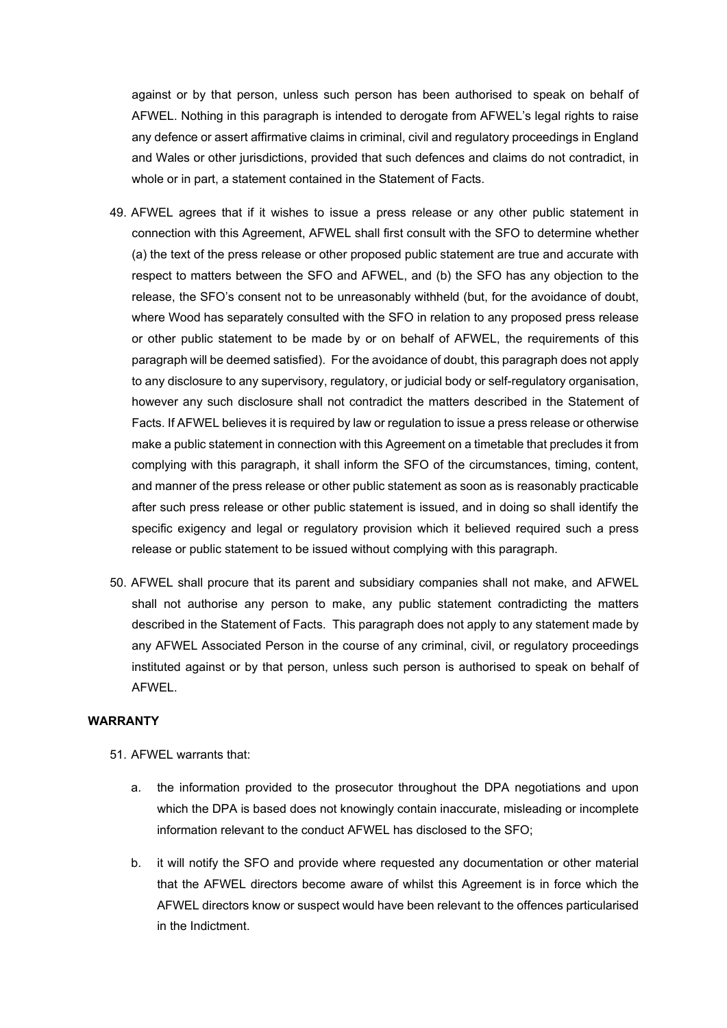against or by that person, unless such person has been authorised to speak on behalf of AFWEL. Nothing in this paragraph is intended to derogate from AFWEL's legal rights to raise any defence or assert affirmative claims in criminal, civil and regulatory proceedings in England and Wales or other jurisdictions, provided that such defences and claims do not contradict, in whole or in part, a statement contained in the Statement of Facts.

- 49. AFWEL agrees that if it wishes to issue a press release or any other public statement in connection with this Agreement, AFWEL shall first consult with the SFO to determine whether (a) the text of the press release or other proposed public statement are true and accurate with respect to matters between the SFO and AFWEL, and (b) the SFO has any objection to the release, the SFO's consent not to be unreasonably withheld (but, for the avoidance of doubt, where Wood has separately consulted with the SFO in relation to any proposed press release or other public statement to be made by or on behalf of AFWEL, the requirements of this paragraph will be deemed satisfied). For the avoidance of doubt, this paragraph does not apply to any disclosure to any supervisory, regulatory, or judicial body or self-regulatory organisation, however any such disclosure shall not contradict the matters described in the Statement of Facts. If AFWEL believes it is required by law or regulation to issue a press release or otherwise make a public statement in connection with this Agreement on a timetable that precludes it from complying with this paragraph, it shall inform the SFO of the circumstances, timing, content, and manner of the press release or other public statement as soon as is reasonably practicable after such press release or other public statement is issued, and in doing so shall identify the specific exigency and legal or regulatory provision which it believed required such a press release or public statement to be issued without complying with this paragraph.
- 50. AFWEL shall procure that its parent and subsidiary companies shall not make, and AFWEL shall not authorise any person to make, any public statement contradicting the matters described in the Statement of Facts. This paragraph does not apply to any statement made by any AFWEL Associated Person in the course of any criminal, civil, or regulatory proceedings instituted against or by that person, unless such person is authorised to speak on behalf of AFWEL.

#### **WARRANTY**

- 51. AFWEL warrants that:
	- a. the information provided to the prosecutor throughout the DPA negotiations and upon which the DPA is based does not knowingly contain inaccurate, misleading or incomplete information relevant to the conduct AFWEL has disclosed to the SFO;
	- b. it will notify the SFO and provide where requested any documentation or other material that the AFWEL directors become aware of whilst this Agreement is in force which the AFWEL directors know or suspect would have been relevant to the offences particularised in the Indictment.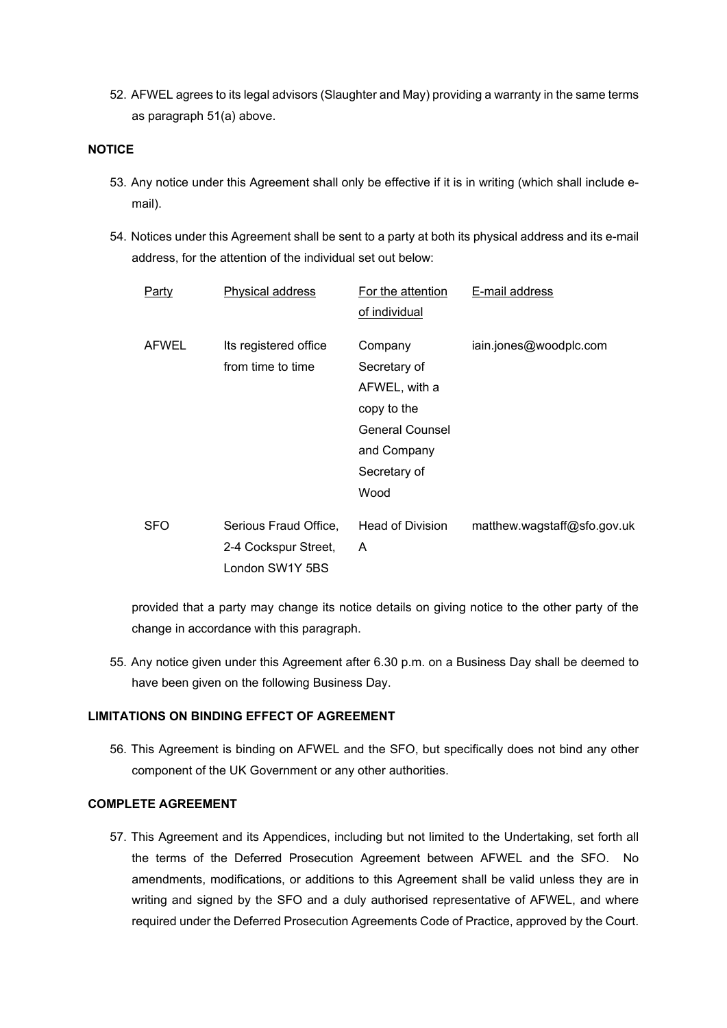52. AFWEL agrees to its legal advisors (Slaughter and May) providing a warranty in the same terms as paragraph 51(a) above.

#### **NOTICE**

- 53. Any notice under this Agreement shall only be effective if it is in writing (which shall include email).
- 54. Notices under this Agreement shall be sent to a party at both its physical address and its e-mail address, for the attention of the individual set out below:

| Party        | Physical address                                                 | For the attention<br>of individual                                                                                       | E-mail address              |
|--------------|------------------------------------------------------------------|--------------------------------------------------------------------------------------------------------------------------|-----------------------------|
| <b>AFWEL</b> | Its registered office<br>from time to time                       | Company<br>Secretary of<br>AFWEL, with a<br>copy to the<br><b>General Counsel</b><br>and Company<br>Secretary of<br>Wood | iain.jones@woodplc.com      |
| <b>SFO</b>   | Serious Fraud Office,<br>2-4 Cockspur Street,<br>London SW1Y 5BS | <b>Head of Division</b><br>A                                                                                             | matthew.wagstaff@sfo.gov.uk |

provided that a party may change its notice details on giving notice to the other party of the change in accordance with this paragraph.

55. Any notice given under this Agreement after 6.30 p.m. on a Business Day shall be deemed to have been given on the following Business Day.

## **LIMITATIONS ON BINDING EFFECT OF AGREEMENT**

56. This Agreement is binding on AFWEL and the SFO, but specifically does not bind any other component of the UK Government or any other authorities.

#### **COMPLETE AGREEMENT**

57. This Agreement and its Appendices, including but not limited to the Undertaking, set forth all the terms of the Deferred Prosecution Agreement between AFWEL and the SFO. No amendments, modifications, or additions to this Agreement shall be valid unless they are in writing and signed by the SFO and a duly authorised representative of AFWEL, and where required under the Deferred Prosecution Agreements Code of Practice, approved by the Court.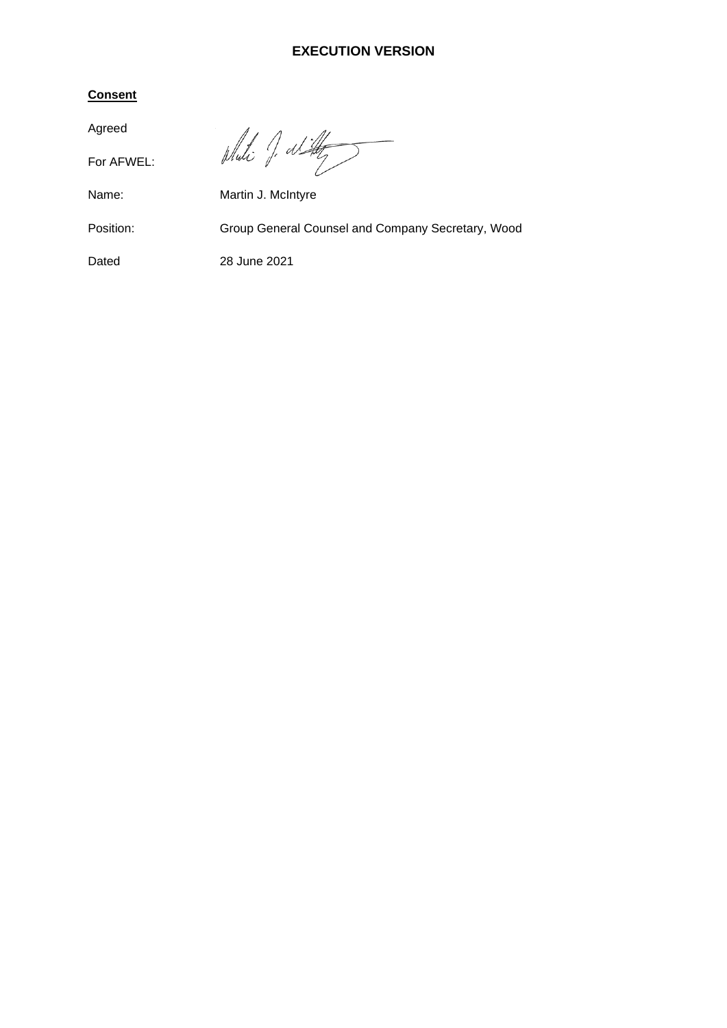# **EXECUTION VERSION**

# **Consent**

Agreed

For AFWEL:

Whati J. al Hy

Name: Martin J. McIntyre

Position: Group General Counsel and Company Secretary, Wood

# Dated 28 June 2021